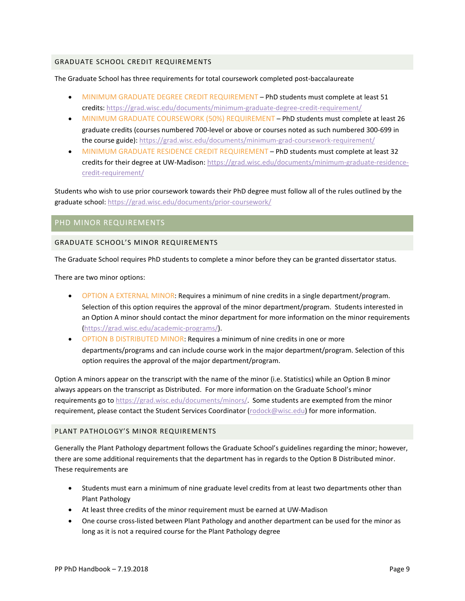### **GRADUATE SCHOOL CREDIT REQUIREMENTS**

The Graduate School has three requirements for total coursework completed post-baccalaureate

- . MINIMUM GRADUATE DEGREE CREDIT REQUIREMENT PhD students must complete at least 51 credits: https://grad.wisc.edu/documents/minimum-graduate-degree-credit-requirement/
- MINIMUM GRADUATE COURSEWORK (50%) REQUIREMENT PhD students must complete at least 26 graduate credits (courses numbered 700-level or above or courses noted as such numbered 300-699 in the course guide): https://grad.wisc.edu/documents/minimum-grad-coursework-requirement/
- MINIMUM GRADUATE RESIDENCE CREDIT REQUIREMENT PhD students must complete at least 32 credits for their degree at UW-Madison: https://grad.wisc.edu/documents/minimum-graduate-residencecredit-requirement/

Students who wish to use prior coursework towards their PhD degree must follow all of the rules outlined by the graduate school: https://grad.wisc.edu/documents/prior-coursework/

# PHD MINOR REQUIREMENTS

#### **GRADUATE SCHOOL'S MINOR REQUIREMENTS**

The Graduate School requires PhD students to complete a minor before they can be granted dissertator status.

There are two minor options:

- OPTION A EXTERNAL MINOR: Requires a minimum of nine credits in a single department/program. Selection of this option requires the approval of the minor department/program. Students interested in an Option A minor should contact the minor department for more information on the minor requirements (https://grad.wisc.edu/academic-programs/).
- OPTION B DISTRIBUTED MINOR: Requires a minimum of nine credits in one or more departments/programs and can include course work in the major department/program. Selection of this option requires the approval of the major department/program.

Option A minors appear on the transcript with the name of the minor (i.e. Statistics) while an Option B minor always appears on the transcript as Distributed. For more information on the Graduate School's minor requirements go to https://grad.wisc.edu/documents/minors/. Some students are exempted from the minor requirement, please contact the Student Services Coordinator (todd.courtenay@wisc.edu) for more information.

#### PLANT PATHOLOGY'S MINOR REQUIREMENTS

Generally the Plant Pathology department follows the Graduate School's guidelines regarding the minor; however, there are some additional requirements that the department has in regards to the Option B Distributed minor. These requirements are

- Students must earn a minimum of nine graduate level credits from at least two departments other than Plant Pathology
- At least three credits of the minor requirement must be earned at UW-Madison
- One course cross-listed between Plant Pathology and another department can be used for the minor as long as it is not a required course for the Plant Pathology degree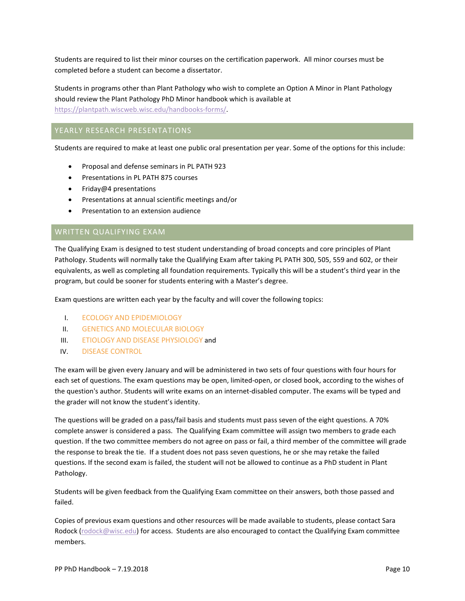Students are required to list their minor courses on the certification paperwork. All minor courses must be completed before a student can become a dissertator.

Students in programs other than Plant Pathology who wish to complete an Option A Minor in Plant Pathology should review the Plant Pathology PhD Minor handbook which is available at [https://plantpath.wiscweb.wisc.edu/handbooks-forms/.](https://plantpath.wiscweb.wisc.edu/handbooks-forms/)

# YEARLY RESEARCH PRESENTATIONS

Students are required to make at least one public oral presentation per year. Some of the options for this include:

- Proposal and defense seminars in PL PATH 923
- Presentations in PL PATH 875 courses
- Friday@4 presentations
- Presentations at annual scientific meetings and/or
- Presentation to an extension audience

# WRITTEN QUALIFYING EXAM

The Qualifying Exam is designed to test student understanding of broad concepts and core principles of Plant Pathology. Students will normally take the Qualifying Exam after taking PL PATH 300, 505, 559 and 602, or their equivalents, as well as completing all foundation requirements. Typically this will be a student's third year in the program, but could be sooner for students entering with a Master's degree.

Exam questions are written each year by the faculty and will cover the following topics:

- I. ECOLOGY AND EPIDEMIOLOGY
- II. GENETICS AND MOLECULAR BIOLOGY
- III. ETIOLOGY AND DISEASE PHYSIOLOGY and
- IV. DISEASE CONTROL

The exam will be given every January and will be administered in two sets of four questions with four hours for each set of questions. The exam questions may be open, limited-open, or closed book, according to the wishes of the question's author. Students will write exams on an internet-disabled computer. The exams will be typed and the grader will not know the student's identity.

The questions will be graded on a pass/fail basis and students must pass seven of the eight questions. A 70% complete answer is considered a pass. The Qualifying Exam committee will assign two members to grade each question. If the two committee members do not agree on pass or fail, a third member of the committee will grade the response to break the tie. If a student does not pass seven questions, he or she may retake the failed questions. If the second exam is failed, the student will not be allowed to continue as a PhD student in Plant Pathology.

Students will be given feedback from the Qualifying Exam committee on their answers, both those passed and failed.

Copies of previous exam questions and other resources will be made available to students, please contact Todd Courtenay ([todd.courtenay](mailto:rodock@wisc.edu)@wisc.edu) for access. Students are also encouraged to contact the Qualifying Exam committee members.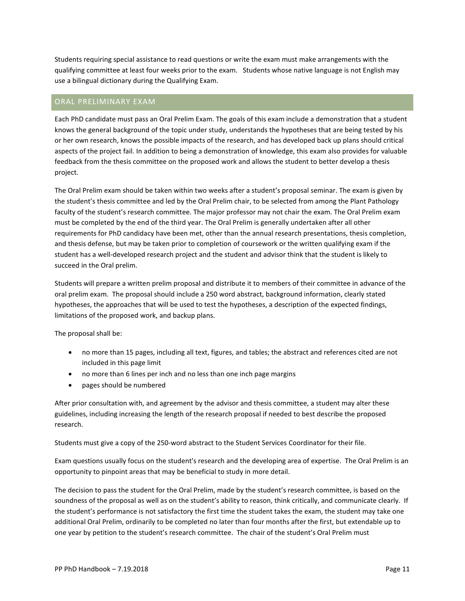Students requiring special assistance to read questions or write the exam must make arrangements with the qualifying committee at least four weeks prior to the exam. Students whose native language is not English may use a bilingual dictionary during the Qualifying Exam.

# ORAL PRELIMINARY EXAM

Each PhD candidate must pass an Oral Prelim Exam. The goals of this exam include a demonstration that a student knows the general background of the topic under study, understands the hypotheses that are being tested by his or her own research, knows the possible impacts of the research, and has developed back up plans should critical aspects of the project fail. In addition to being a demonstration of knowledge, this exam also provides for valuable feedback from the thesis committee on the proposed work and allows the student to better develop a thesis project.

The Oral Prelim exam should be taken within two weeks after a student's proposal seminar. The exam is given by the student's thesis committee and led by the Oral Prelim chair, to be selected from among the Plant Pathology faculty of the student's research committee. The major professor may not chair the exam. The Oral Prelim exam must be completed by the end of the third year. The Oral Prelim is generally undertaken after all other requirements for PhD candidacy have been met, other than the annual research presentations, thesis completion, and thesis defense, but may be taken prior to completion of coursework or the written qualifying exam if the student has a well-developed research project and the student and advisor think that the student is likely to succeed in the Oral prelim.

Students will prepare a written prelim proposal and distribute it to members of their committee in advance of the oral prelim exam. The proposal should include a 250 word abstract, background information, clearly stated hypotheses, the approaches that will be used to test the hypotheses, a description of the expected findings, limitations of the proposed work, and backup plans.

The proposal shall be:

- no more than 15 pages, including all text, figures, and tables; the abstract and references cited are not included in this page limit
- no more than 6 lines per inch and no less than one inch page margins
- pages should be numbered

After prior consultation with, and agreement by the advisor and thesis committee, a student may alter these guidelines, including increasing the length of the research proposal if needed to best describe the proposed research.

Students must give a copy of the 250-word abstract to the Student Services Coordinator for their file.

Exam questions usually focus on the student's research and the developing area of expertise. The Oral Prelim is an opportunity to pinpoint areas that may be beneficial to study in more detail.

The decision to pass the student for the Oral Prelim, made by the student's research committee, is based on the soundness of the proposal as well as on the student's ability to reason, think critically, and communicate clearly. If the student's performance is not satisfactory the first time the student takes the exam, the student may take one additional Oral Prelim, ordinarily to be completed no later than four months after the first, but extendable up to one year by petition to the student's research committee. The chair of the student's Oral Prelim must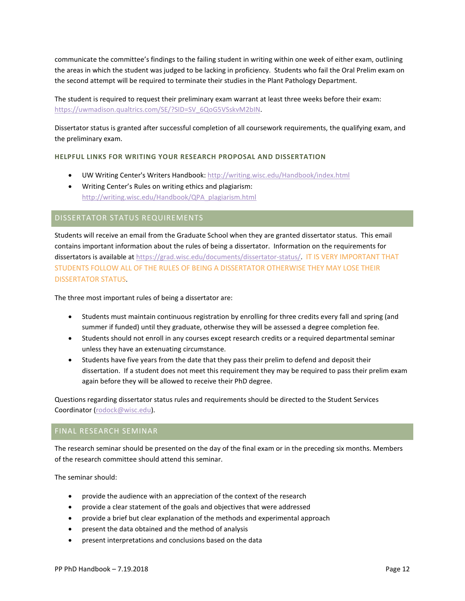communicate the committee's findings to the failing student in writing within one week of either exam, outlining the areas in which the student was judged to be lacking in proficiency. Students who fail the Oral Prelim exam on the second attempt will be required to terminate their studies in the Plant Pathology Department.

The student is required to request their preliminary exam warrant at least three weeks before their exam: [https://uwmadison.qualtrics.com/SE/?SID=SV\\_6QoG5VSskvM2bIN.](https://uwmadison.qualtrics.com/SE/?SID=SV_6QoG5VSskvM2bIN)

Dissertator status is granted after successful completion of all coursework requirements, the qualifying exam, and the preliminary exam.

#### **HELPFUL LINKS FOR WRITING YOUR RESEARCH PROPOSAL AND DISSERTATION**

- UW Writing Center's Writers Handbook[: http://writing.wisc.edu/Handbook/index.html](http://writing.wisc.edu/Handbook/index.html)
- Writing Center's Rules on writing ethics and plagiarism: [http://writing.wisc.edu/Handbook/QPA\\_plagiarism.html](http://writing.wisc.edu/Handbook/QPA_plagiarism.html)

# DISSERTATOR STATUS REQUIREMENTS

Students will receive an email from the Graduate School when they are granted dissertator status. This email contains important information about the rules of being a dissertator. Information on the requirements for dissertators is available at [https://grad.wisc.edu/documents/dissertator-status/.](https://grad.wisc.edu/documents/dissertator-status/) IT IS VERY IMPORTANT THAT STUDENTS FOLLOW ALL OF THE RULES OF BEING A DISSERTATOR OTHERWISE THEY MAY LOSE THEIR DISSERTATOR STATUS.

The three most important rules of being a dissertator are:

- Students must maintain continuous registration by enrolling for three credits every fall and spring (and summer if funded) until they graduate, otherwise they will be assessed a degree completion fee.
- Students should not enroll in any courses except research credits or a required departmental seminar unless they have an extenuating circumstance.
- Students have five years from the date that they pass their prelim to defend and deposit their dissertation. If a student does not meet this requirement they may be required to pass their prelim exam again before they will be allowed to receive their PhD degree.

Questions regarding dissertator status rules and requirements should be directed to the Student Services Coordinator ([todd.cour](mailto:rodock@wisc.edu)tenay@wisc.edu).

# FINAL RESEARCH SEMINAR

The research seminar should be presented on the day of the final exam or in the preceding six months. Members of the research committee should attend this seminar.

The seminar should:

- provide the audience with an appreciation of the context of the research
- provide a clear statement of the goals and objectives that were addressed
- provide a brief but clear explanation of the methods and experimental approach
- present the data obtained and the method of analysis
- present interpretations and conclusions based on the data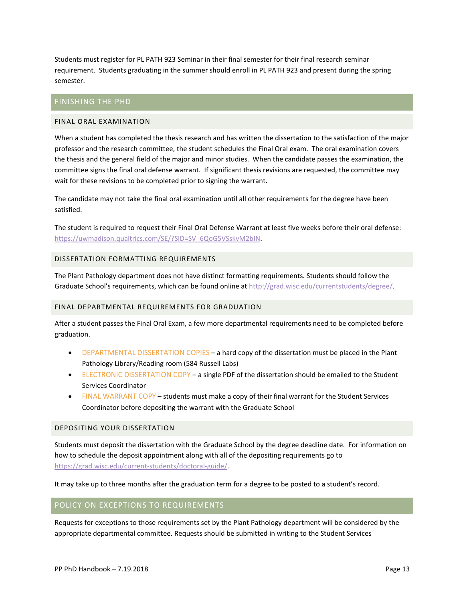Students must register for PL PATH 923 Seminar in their final semester for their final research seminar requirement. Students graduating in the summer should enroll in PL PATH 923 and present during the spring semester.

# FINISHING THE PHD

# FINAL ORAL EXAMINATION

When a student has completed the thesis research and has written the dissertation to the satisfaction of the major professor and the research committee, the student schedules the Final Oral exam. The oral examination covers the thesis and the general field of the major and minor studies. When the candidate passes the examination, the committee signs the final oral defense warrant. If significant thesis revisions are requested, the committee may wait for these revisions to be completed prior to signing the warrant.

The candidate may not take the final oral examination until all other requirements for the degree have been satisfied.

The student is required to request their Final Oral Defense Warrant at least five weeks before their oral defense: [https://uwmadison.qualtrics.com/SE/?SID=SV\\_6QoG5VSskvM2bIN.](https://uwmadison.qualtrics.com/SE/?SID=SV_6QoG5VSskvM2bIN)

#### DISSERTATION FORMATTING REQUIREMENTS

The Plant Pathology department does not have distinct formatting requirements. Students should follow the Graduate School's requirements, which can be found online at http://grad.wisc.edu/currentstudents/degree/

#### FINAL DEPARTMENTAL REQUIREMENTS FOR GRADUATION

After a student passes the Final Oral Exam, a few more departmental requirements need to be completed before graduation.

- DEPARTMENTAL DISSERTATION COPIES a hard copy of the dissertation must be placed in the Plant Pathology Library/Reading room (584 Russell Labs)
- ELECTRONIC DISSERTATION COPY a single PDF of the dissertation should be emailed to the Student Services Coordinator
- FINAL WARRANT COPY students must make a copy of their final warrant for the Student Services Coordinator before depositing the warrant with the Graduate School

# DEPOSITING YOUR DISSERTATION

Students must deposit the dissertation with the Graduate School by the degree deadline date. For information on how to schedule the deposit appointment along with all of the depositing requirements go to [https://grad.wisc.edu/current-students/doctoral-guide/.](https://grad.wisc.edu/current-students/doctoral-guide/) 

It may take up to three months after the graduation term for a degree to be posted to a student's record.

# POLICY ON EXCEPTIONS TO REQUIREMENTS

Requests for exceptions to those requirements set by the Plant Pathology department will be considered by the appropriate departmental committee. Requests should be submitted in writing to the Student Services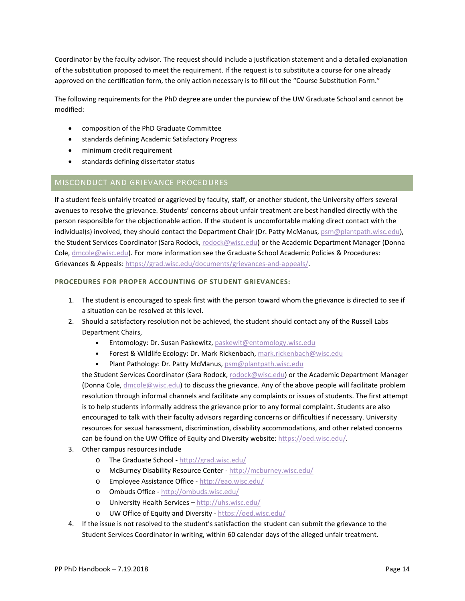Coordinator by the faculty advisor. The request should include a justification statement and a detailed explanation of the substitution proposed to meet the requirement. If the request is to substitute a course for one already approved on the certification form, the only action necessary is to fill out the "Course Substitution Form."

The following requirements for the PhD degree are under the purview of the UW Graduate School and cannot be modified:

- composition of the PhD Graduate Committee
- standards defining Academic Satisfactory Progress
- minimum credit requirement
- standards defining dissertator status

# MISCONDUCT AND GRIEVANCE PROCEDURES

If a student feels unfairly treated or aggrieved by faculty, staff, or another student, the University offers several avenues to resolve the grievance. Students' concerns about unfair treatment are best handled directly with the person responsible for the objectionable action. If the student is uncomfortable making direct contact with the individual(s) involved, they should contact the Department Chair (Dr. Amanda Gevens, gevens[@wisc.edu\),](mailto:psm@plantpath.wisc.edu) the Student Services Coordinator (Todd Courtenay, [todd.courtenay](mailto:rodock@wisc.edu)@wisc.edu) or the Department Manager (Alyson Amenda, [amenda](mailto:dmcole@wisc.edu)@wisc.edu). For more information see the Graduate School Academic Policies & Procedures: Grievances & Appeals: [https://grad.wisc.edu/documents/grievances-and-appeals/.](https://grad.wisc.edu/documents/grievances-and-appeals/)

#### **PROCEDURES FOR PROPER ACCOUNTING OF STUDENT GRIEVANCES:**

- 1. The student is encouraged to speak first with the person toward whom the grievance is directed to see if a situation can be resolved at this level.
- 2. Should a satisfactory resolution not be achieved, the student should contact any of the Russell Labs Department Chairs,
	- Entomology: Dr. Susan Paskewitz[, paskewit@entomology.wisc.edu](mailto:paskewit@entomology.wisc.edu)
	- Forest & Wildlife Ecology: Dr. Eric Kruger, elkruger[@wisc.edu](mailto:mark.rickenbach@wisc.edu)
	- Plant Pathology: Dr. Amenda Gevens, gevens@wisc.edu

the Student Services Coordinator (Todd Courtenay, [todd.courtenay](mailto:rodock@wisc.edu)@wisc.edu) or the Department Manager (Al[yson Amenda](mailto:dmcole@wisc.edu), amenda@wisc.edu) to discuss the grievance. Any of the above people will facilitate problem resolution through informal channels and facilitate any complaints or issues of students. The first attempt is to help students informally address the grievance prior to any formal complaint. Students are also encouraged to talk with their faculty advisors regarding concerns or difficulties if necessary. University resources for sexual harassment, discrimination, disability accommodations, and other related concerns can be found on [the UW Office of Equity](https://oed.wisc.edu/) and Diversity

- 3. Orthesiteampus resources include
	- o The Graduate School <http://grad.wisc.edu/>
	- o McBurney Disability Resource Center -<http://mcburney.wisc.edu/>
	- o Employee Assistance Office -<http://eao.wisc.edu/>
	- o Ombuds Office <http://ombuds.wisc.edu/>
	- o University Health Services –<http://uhs.wisc.edu/>
	- o UW Office of Equity and Diversity -<https://oed.wisc.edu/>
- 4. If the issue is not resolved to the student's satisfaction the student can submit the grievance to the Student Services Coordinator in writing, within 60 calendar days of the alleged unfair treatment.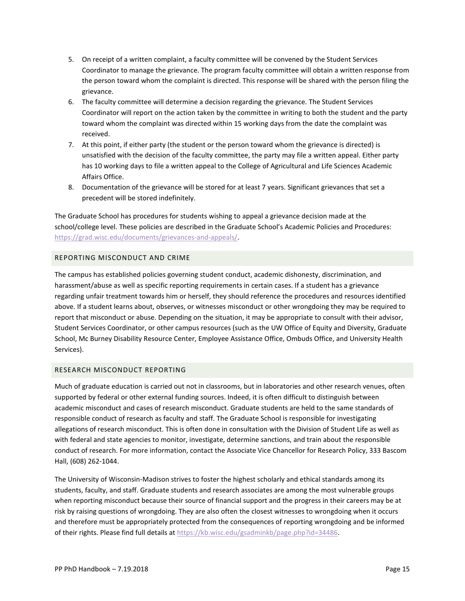- 5. On receipt of a written complaint, a faculty committee will be convened by the Student Services Coordinator to manage the grievance. The program faculty committee will obtain a written response from the person toward whom the complaint is directed. This response will be shared with the person filing the grievance.
- 6. The faculty committee will determine a decision regarding the grievance. The Student Services Coordinator will report on the action taken by the committee in writing to both the student and the party toward whom the complaint was directed within 15 working days from the date the complaint was received.
- 7. At this point, if either party (the student or the person toward whom the grievance is directed) is unsatisfied with the decision of the faculty committee, the party may file a written appeal. Either party has 10 working days to file a written appeal to the College of Agricultural and Life Sciences Academic Affairs Office.
- 8. Documentation of the grievance will be stored for at least 7 years. Significant grievances that set a precedent will be stored indefinitely.

The Graduate School has procedures for students wishing to appeal a grievance decision made at the school/college level. These policies are described in the Graduate School's Academic Policies and Procedures: [https://grad.wisc.edu/documents/grievances-and-appeals/.](https://grad.wisc.edu/documents/grievances-and-appeals/)

# REPORTING MISCONDUCT AND CRIME

The campus has established policies governing student conduct, academic dishonesty, discrimination, and harassment/abuse as well as specific reporting requirements in certain cases. If a student has a grievance regarding unfair treatment towards him or herself, they should reference the procedures and resources identified above. If a student learns about, observes, or witnesses misconduct or other wrongdoing they may be required to report that misconduct or abuse. Depending on the situation, it may be appropriate to consult with their advisor, Student Services Coordinator, or other campus resources (such as the UW Office of Equity and Diversity, Graduate School, Mc Burney Disability Resource Center, Employee Assistance Office, Ombuds Office, and University Health Services).

# RESEARCH MISCONDUCT REPORTING

Much of graduate education is carried out not in classrooms, but in laboratories and other research venues, often supported by federal or other external funding sources. Indeed, it is often difficult to distinguish between academic misconduct and cases of research misconduct. Graduate students are held to the same standards of responsible conduct of research as faculty and staff. The Graduate School is responsible for investigating allegations of research misconduct. This is often done in consultation with the Division of Student Life as well as with federal and state agencies to monitor, investigate, determine sanctions, and train about the responsible conduct of research. For more information, contact the Associate Vice Chancellor for Research Policy, 333 Bascom Hall, (608) 262-1044.

The University of Wisconsin-Madison strives to foster the highest scholarly and ethical standards among its students, faculty, and staff. Graduate students and research associates are among the most vulnerable groups when reporting misconduct because their source of financial support and the progress in their careers may be at risk by raising questions of wrongdoing. They are also often the closest witnesses to wrongdoing when it occurs and therefore must be appropriately protected from the consequences of reporting wrongdoing and be informed of their rights. Please find full details at [https://kb.wisc.edu/gsadminkb/page.php?id=34486.](https://kb.wisc.edu/gsadminkb/page.php?id=34486)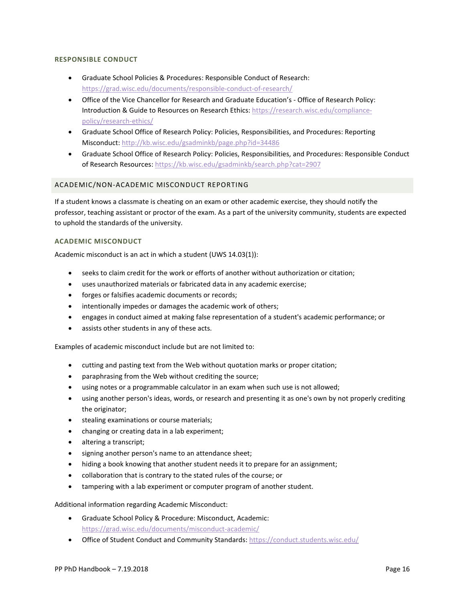#### **RESPONSIBLE CONDUCT**

- Graduate School Policies & Procedures: Responsible Conduct of Research: <https://grad.wisc.edu/documents/responsible-conduct-of-research/>
- Office of the Vice Chancellor for Research and Graduate Education's Office of Research Policy: Introduction & Guide to Resources on Research Ethics: [https://research.wisc.edu/compliance](https://research.wisc.edu/compliance-policy/research-ethics/)[policy/research-ethics/](https://research.wisc.edu/compliance-policy/research-ethics/)
- Graduate School Office of Research Policy: Policies, Responsibilities, and Procedures: Reporting Misconduct[: http://kb.wisc.edu/gsadminkb/page.php?id=34486](http://kb.wisc.edu/gsadminkb/page.php?id=34486)
- Graduate School Office of Research Policy: Policies, Responsibilities, and Procedures: Responsible Conduct of Research Resources:<https://kb.wisc.edu/gsadminkb/search.php?cat=2907>

# ACADEMIC/NON-ACADEMIC MISCONDUCT REPORTING

If a student knows a classmate is cheating on an exam or other academic exercise, they should notify the professor, teaching assistant or proctor of the exam. As a part of the university community, students are expected to uphold the standards of the university.

# **ACADEMIC MISCONDUCT**

Academic misconduct is an act in which a student (UWS 14.03(1)):

- seeks to claim credit for the work or efforts of another without authorization or citation;
- uses unauthorized materials or fabricated data in any academic exercise;
- forges or falsifies academic documents or records;
- intentionally impedes or damages the academic work of others;
- engages in conduct aimed at making false representation of a student's academic performance; or
- assists other students in any of these acts.

Examples of academic misconduct include but are not limited to:

- cutting and pasting text from the Web without quotation marks or proper citation;
- paraphrasing from the Web without crediting the source;
- using notes or a programmable calculator in an exam when such use is not allowed;
- using another person's ideas, words, or research and presenting it as one's own by not properly crediting the originator;
- stealing examinations or course materials;
- changing or creating data in a lab experiment;
- altering a transcript;
- signing another person's name to an attendance sheet;
- hiding a book knowing that another student needs it to prepare for an assignment;
- collaboration that is contrary to the stated rules of the course; or
- tampering with a lab experiment or computer program of another student.

Additional information regarding Academic Misconduct:

- Graduate School Policy & Procedure: Misconduct, Academic: <https://grad.wisc.edu/documents/misconduct-academic/>
- Office of Student Conduct and Community Standards:<https://conduct.students.wisc.edu/>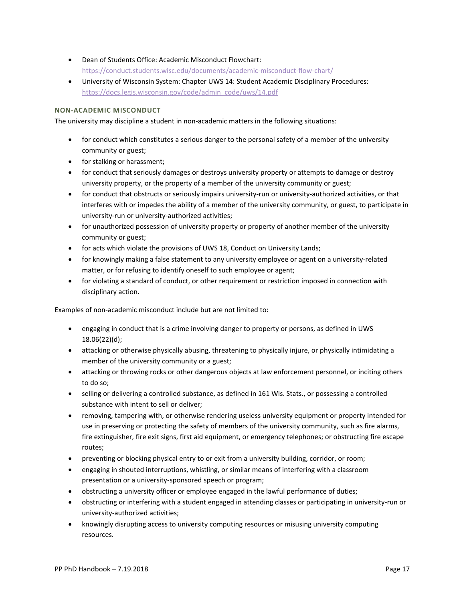- Dean of Students Office: Academic Misconduct Flowchart: <https://conduct.students.wisc.edu/documents/academic-misconduct-flow-chart/>
- University of Wisconsin System: Chapter UWS 14: Student Academic Disciplinary Procedures: [https://docs.legis.wisconsin.gov/code/admin\\_code/uws/14.pdf](https://docs.legis.wisconsin.gov/code/admin_code/uws/14.pdf)

# **NON-ACADEMIC MISCONDUCT**

The university may discipline a student in non-academic matters in the following situations:

- for conduct which constitutes a serious danger to the personal safety of a member of the university community or guest;
- for stalking or harassment;
- for conduct that seriously damages or destroys university property or attempts to damage or destroy university property, or the property of a member of the university community or guest;
- for conduct that obstructs or seriously impairs university-run or university-authorized activities, or that interferes with or impedes the ability of a member of the university community, or guest, to participate in university-run or university-authorized activities;
- for unauthorized possession of university property or property of another member of the university community or guest;
- for acts which violate the provisions of UWS 18, Conduct on University Lands;
- for knowingly making a false statement to any university employee or agent on a university-related matter, or for refusing to identify oneself to such employee or agent;
- for violating a standard of conduct, or other requirement or restriction imposed in connection with disciplinary action.

Examples of non-academic misconduct include but are not limited to:

- engaging in conduct that is a crime involving danger to property or persons, as defined in UWS 18.06(22)(d);
- attacking or otherwise physically abusing, threatening to physically injure, or physically intimidating a member of the university community or a guest;
- attacking or throwing rocks or other dangerous objects at law enforcement personnel, or inciting others to do so;
- selling or delivering a controlled substance, as defined in 161 Wis. Stats., or possessing a controlled substance with intent to sell or deliver;
- removing, tampering with, or otherwise rendering useless university equipment or property intended for use in preserving or protecting the safety of members of the university community, such as fire alarms, fire extinguisher, fire exit signs, first aid equipment, or emergency telephones; or obstructing fire escape routes;
- preventing or blocking physical entry to or exit from a university building, corridor, or room;
- engaging in shouted interruptions, whistling, or similar means of interfering with a classroom presentation or a university-sponsored speech or program;
- obstructing a university officer or employee engaged in the lawful performance of duties;
- obstructing or interfering with a student engaged in attending classes or participating in university-run or university-authorized activities;
- knowingly disrupting access to university computing resources or misusing university computing resources.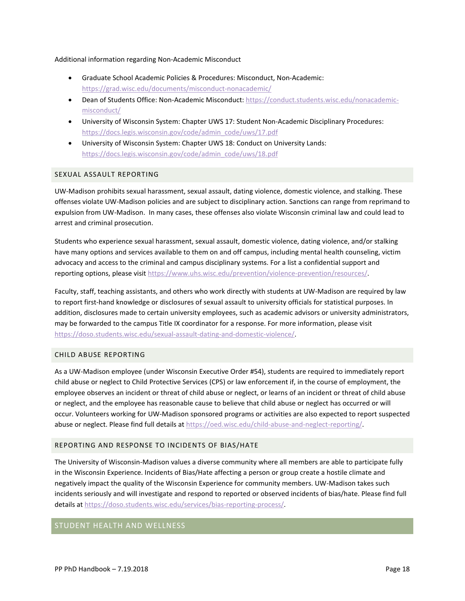#### Additional information regarding Non-Academic Misconduct

- Graduate School Academic Policies & Procedures: Misconduct, Non-Academic: <https://grad.wisc.edu/documents/misconduct-nonacademic/>
- Dean of Students Office: Non-Academic Misconduct: [https://conduct.students.wisc.edu/nonacademic](https://conduct.students.wisc.edu/nonacademic-misconduct/)[misconduct/](https://conduct.students.wisc.edu/nonacademic-misconduct/)
- University of Wisconsin System: Chapter UWS 17: Student Non-Academic Disciplinary Procedures: [https://docs.legis.wisconsin.gov/code/admin\\_code/uws/17.pdf](https://docs.legis.wisconsin.gov/code/admin_code/uws/17.pdf)
- University of Wisconsin System: Chapter UWS 18: Conduct on University Lands: [https://docs.legis.wisconsin.gov/code/admin\\_code/uws/18.pdf](https://docs.legis.wisconsin.gov/code/admin_code/uws/18.pdf)

# SEXUAL ASSAULT REPORTING

UW-Madison prohibits sexual harassment, sexual assault, dating violence, domestic violence, and stalking. These offenses violate UW-Madison policies and are subject to disciplinary action. Sanctions can range from reprimand to expulsion from UW-Madison. In many cases, these offenses also violate Wisconsin criminal law and could lead to arrest and criminal prosecution.

Students who experience sexual harassment, sexual assault, domestic violence, dating violence, and/or stalking have many options and services available to them on and off campus, including mental health counseling, victim advocacy and access to the criminal and campus disciplinary systems. For a list a confidential support and reporting options, please visit [https://www.uhs.wisc.edu/prevention/violence-prevention/resources/.](https://www.uhs.wisc.edu/prevention/violence-prevention/resources/)

Faculty, staff, teaching assistants, and others who work directly with students at UW-Madison are required by law to report first-hand knowledge or disclosures of sexual assault to university officials for statistical purposes. In addition, disclosures made to certain university employees, such as academic advisors or university administrators, may be forwarded to the campus Title IX coordinator for a response. For more information, please visit [https://doso.students.wisc.edu/sexual-assault-dating-and-domestic-violence/.](https://doso.students.wisc.edu/sexual-assault-dating-and-domestic-violence/)

# CHILD ABUSE REPORTING

As a UW-Madison employee (under Wisconsin Executive Order #54), students are required to immediately report child abuse or neglect to Child Protective Services (CPS) or law enforcement if, in the course of employment, the employee observes an incident or threat of child abuse or neglect, or learns of an incident or threat of child abuse or neglect, and the employee has reasonable cause to believe that child abuse or neglect has occurred or will occur. Volunteers working for UW-Madison sponsored programs or activities are also expected to report suspected abuse or neglect. Please find full details at [https://oed.wisc.edu/child-abuse-and-neglect-reporting/.](https://oed.wisc.edu/child-abuse-and-neglect-reporting/)

# REPORTING AND RESPONSE TO INCIDENTS OF BIAS/HATE

The University of Wisconsin-Madison values a diverse community where all members are able to participate fully in the Wisconsin Experience. Incidents of Bias/Hate affecting a person or group create a hostile climate and negatively impact the quality of the Wisconsin Experience for community members. UW-Madison takes such incidents seriously and will investigate and respond to reported or observed incidents of bias/hate. Please find full details a[t https://doso.students.wisc.edu/services/bias-reporting-process/.](https://doso.students.wisc.edu/services/bias-reporting-process/)

# STUDENT HEALTH AND WELLNESS